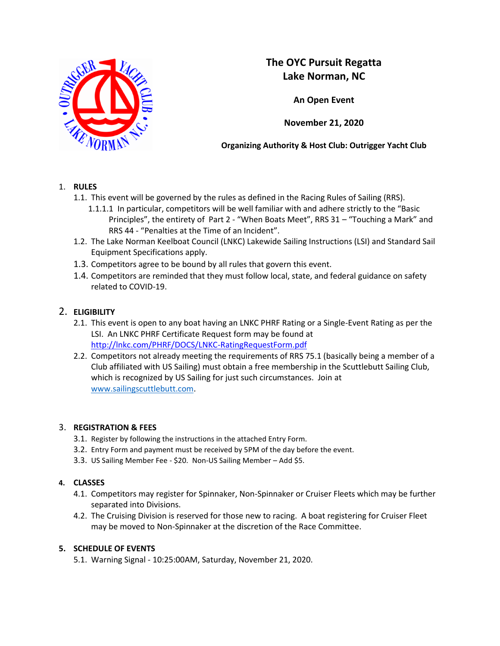

# **The OYC Pursuit Regatta Lake Norman, NC**

**An Open Event**

**November 21, 2020**

**Organizing Authority & Host Club: Outrigger Yacht Club**

### 1. **RULES**

- 1.1. This event will be governed by the rules as defined in the Racing Rules of Sailing (RRS).
	- 1.1.1.1 In particular, competitors will be well familiar with and adhere strictly to the "Basic Principles", the entirety of Part 2 ‐ "When Boats Meet", RRS 31 – "Touching a Mark" and RRS 44 ‐ "Penalties at the Time of an Incident".
- 1.2. The Lake Norman Keelboat Council (LNKC) Lakewide Sailing Instructions (LSI) and Standard Sail Equipment Specifications apply.
- 1.3. Competitors agree to be bound by all rules that govern this event.
- 1.4. Competitors are reminded that they must follow local, state, and federal guidance on safety related to COVID-19.

## 2. **ELIGIBILITY**

- 2.1. This event is open to any boat having an LNKC PHRF Rating or a Single-Event Rating as per the LSI. An LNKC PHRF Certificate Request form may be found at <http://lnkc.com/PHRF/DOCS/LNKC-RatingRequestForm.pdf>
- 2.2. Competitors not already meeting the requirements of RRS 75.1 (basically being a member of a Club affiliated with US Sailing) must obtain a free membership in the Scuttlebutt Sailing Club, which is recognized by US Sailing for just such circumstances. Join at [www.sailingscuttlebutt.com.](http://www.sailingscuttlebutt.com/)

### 3. **REGISTRATION & FEES**

- 3.1. Register by following the instructions in the attached Entry Form.
- 3.2. Entry Form and payment must be received by 5PM of the day before the event.
- 3.3. US Sailing Member Fee \$20. Non-US Sailing Member Add \$5.

### **4. CLASSES**

- 4.1. Competitors may register for Spinnaker, Non-Spinnaker or Cruiser Fleets which may be further separated into Divisions.
- 4.2. The Cruising Division is reserved for those new to racing. A boat registering for Cruiser Fleet may be moved to Non-Spinnaker at the discretion of the Race Committee.

### **5. SCHEDULE OF EVENTS**

5.1. Warning Signal - 10:25:00AM, Saturday, November 21, 2020.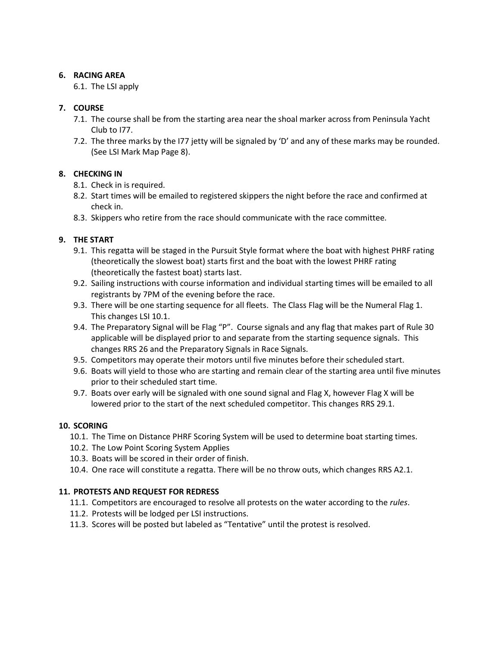#### **6. RACING AREA**

6.1. The LSI apply

### **7. COURSE**

- 7.1. The course shall be from the starting area near the shoal marker across from Peninsula Yacht Club to I77.
- 7.2. The three marks by the I77 jetty will be signaled by 'D' and any of these marks may be rounded. (See LSI Mark Map Page 8).

### **8. CHECKING IN**

- 8.1. Check in is required.
- 8.2. Start times will be emailed to registered skippers the night before the race and confirmed at check in.
- 8.3. Skippers who retire from the race should communicate with the race committee.

### **9. THE START**

- 9.1. This regatta will be staged in the Pursuit Style format where the boat with highest PHRF rating (theoretically the slowest boat) starts first and the boat with the lowest PHRF rating (theoretically the fastest boat) starts last.
- 9.2. Sailing instructions with course information and individual starting times will be emailed to all registrants by 7PM of the evening before the race.
- 9.3. There will be one starting sequence for all fleets. The Class Flag will be the Numeral Flag 1. This changes LSI 10.1.
- 9.4. The Preparatory Signal will be Flag "P". Course signals and any flag that makes part of Rule 30 applicable will be displayed prior to and separate from the starting sequence signals. This changes RRS 26 and the Preparatory Signals in Race Signals.
- 9.5. Competitors may operate their motors until five minutes before their scheduled start.
- 9.6. Boats will yield to those who are starting and remain clear of the starting area until five minutes prior to their scheduled start time.
- 9.7. Boats over early will be signaled with one sound signal and Flag X, however Flag X will be lowered prior to the start of the next scheduled competitor. This changes RRS 29.1.

### **10. SCORING**

- 10.1. The Time on Distance PHRF Scoring System will be used to determine boat starting times.
- 10.2. The Low Point Scoring System Applies
- 10.3. Boats will be scored in their order of finish.
- 10.4. One race will constitute a regatta. There will be no throw outs, which changes RRS A2.1.

### **11. PROTESTS AND REQUEST FOR REDRESS**

- 11.1. Competitors are encouraged to resolve all protests on the water according to the *rules*.
- 11.2. Protests will be lodged per LSI instructions.
- 11.3. Scores will be posted but labeled as "Tentative" until the protest is resolved.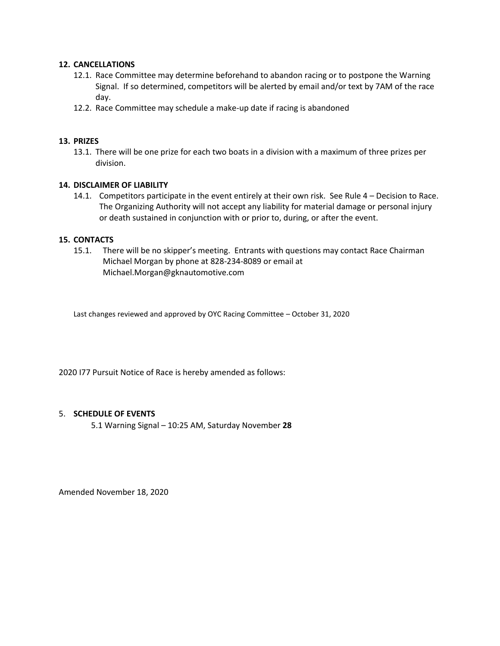#### **12. CANCELLATIONS**

- 12.1. Race Committee may determine beforehand to abandon racing or to postpone the Warning Signal. If so determined, competitors will be alerted by email and/or text by 7AM of the race day.
- 12.2. Race Committee may schedule a make-up date if racing is abandoned

#### **13. PRIZES**

13.1. There will be one prize for each two boats in a division with a maximum of three prizes per division.

#### **14. DISCLAIMER OF LIABILITY**

14.1. Competitors participate in the event entirely at their own risk. See Rule 4 – Decision to Race. The Organizing Authority will not accept any liability for material damage or personal injury or death sustained in conjunction with or prior to, during, or after the event.

#### **15. CONTACTS**

15.1. There will be no skipper's meeting. Entrants with questions may contact Race Chairman Michael Morgan by phone at 828-234-8089 or email at Michael.Morgan@gknautomotive.com

Last changes reviewed and approved by OYC Racing Committee – October 31, 2020

2020 I77 Pursuit Notice of Race is hereby amended as follows:

#### 5. **SCHEDULE OF EVENTS**

5.1 Warning Signal – 10:25 AM, Saturday November **28**

Amended November 18, 2020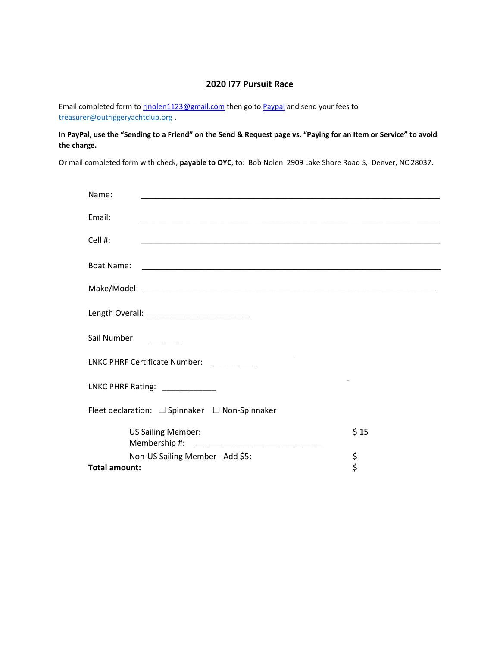#### **2020 I77 Pursuit Race**

Email completed form to rinolen1123@gmail.com then go to [Paypal](https://www.paypal.com/us/webapps/mpp/send-money-online) and send your fees to [treasurer@outriggeryachtclub.org](mailto:treasurer@outriggeryachtclub.org) .

**In PayPal, use the "Sending to a Friend" on the Send & Request page vs. "Paying for an Item or Service" to avoid the charge.**

Or mail completed form with check, **payable to OYC**, to: Bob Nolen 2909 Lake Shore Road S, Denver, NC 28037.

| Name:                                                    |      |
|----------------------------------------------------------|------|
|                                                          |      |
| Email:                                                   |      |
| Cell #:                                                  |      |
|                                                          |      |
| Boat Name:                                               |      |
|                                                          |      |
|                                                          |      |
|                                                          |      |
|                                                          |      |
| Sail Number:                                             |      |
| <u> 1999 - Jan Ja</u>                                    |      |
| LNKC PHRF Certificate Number:                            |      |
|                                                          |      |
| LNKC PHRF Rating: _____________                          |      |
|                                                          |      |
| Fleet declaration: $\Box$ Spinnaker $\Box$ Non-Spinnaker |      |
| <b>US Sailing Member:</b>                                | \$15 |
|                                                          |      |
| Non-US Sailing Member - Add \$5:                         | \$   |
| <b>Total amount:</b>                                     | \$   |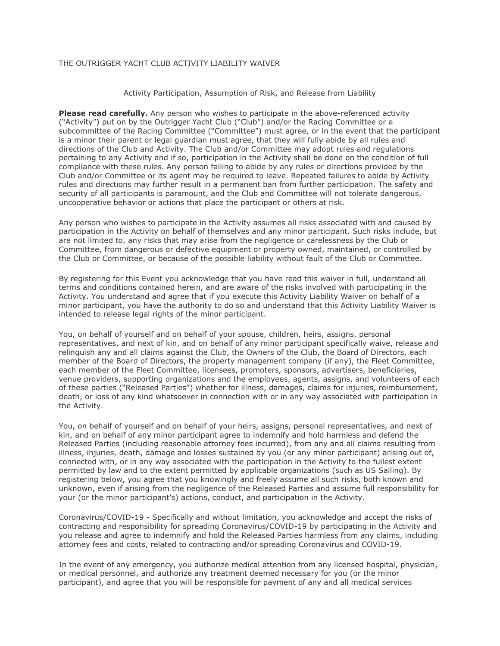#### THE OUTRIGGER YACHT CLUB ACTIVITY LIABILITY WAIVER

Activity Participation, Assumption of Risk, and Release from Liability

**Please read carefully.** Any person who wishes to participate in the above-referenced activity ("Activity") put on by the Outrigger Yacht Club ("Club") and/or the Racing Committee or a subcommittee of the Racing Committee ("Committee") must agree, or in the event that the participant is a minor their parent or legal guardian must agree, that they will fully abide by all rules and directions of the Club and Activity. The Club and/or Committee may adopt rules and regulations pertaining to any Activity and if so, participation in the Activity shall be done on the condition of full compliance with these rules. Any person failing to abide by any rules or directions provided by the Club and/or Committee or its agent may be required to leave. Repeated failures to abide by Activity rules and directions may further result in a permanent ban from further participation. The safety and security of all participants is paramount, and the Club and Committee will not tolerate dangerous, uncooperative behavior or actions that place the participant or others at risk.

Any person who wishes to participate in the Activity assumes all risks associated with and caused by participation in the Activity on behalf of themselves and any minor participant. Such risks include, but are not limited to, any risks that may arise from the negligence or carelessness by the Club or Committee, from dangerous or defective equipment or property owned, maintained, or controlled by the Club or Committee, or because of the possible liability without fault of the Club or Committee.

By registering for this Event you acknowledge that you have read this waiver in full, understand all terms and conditions contained herein, and are aware of the risks involved with participating in the Activity. You understand and agree that if you execute this Activity Liability Waiver on behalf of a minor participant, you have the authority to do so and understand that this Activity Liability Waiver is intended to release legal rights of the minor participant.

You, on behalf of yourself and on behalf of your spouse, children, heirs, assigns, personal representatives, and next of kin, and on behalf of any minor participant specifically waive, release and relinquish any and all claims against the Club, the Owners of the Club, the Board of Directors, each member of the Board of Directors, the property management company (if any), the Fleet Committee, each member of the Fleet Committee, licensees, promoters, sponsors, advertisers, beneficiaries, venue providers, supporting organizations and the employees, agents, assigns, and volunteers of each of these parties ("Released Parties") whether for illness, damages, claims for injuries, reimbursement, death, or loss of any kind whatsoever in connection with or in any way associated with participation in the Activity.

You, on behalf of yourself and on behalf of your heirs, assigns, personal representatives, and next of kin, and on behalf of any minor participant agree to indemnify and hold harmless and defend the Released Parties (including reasonable attorney fees incurred), from any and all claims resulting from illness, injuries, death, damage and losses sustained by you (or any minor participant) arising out of, connected with, or in any way associated with the participation in the Activity to the fullest extent permitted by law and to the extent permitted by applicable organizations (such as US Sailing). By registering below, you agree that you knowingly and freely assume all such risks, both known and unknown, even if arising from the negligence of the Released Parties and assume full responsibility for your (or the minor participant's) actions, conduct, and participation in the Activity.

Coronavirus/COVID-19 - Specifically and without limitation, you acknowledge and accept the risks of contracting and responsibility for spreading Coronavirus/COVID-19 by participating in the Activity and you release and agree to indemnify and hold the Released Parties harmless from any claims, including attorney fees and costs, related to contracting and/or spreading Coronavirus and COVID-19.

In the event of any emergency, you authorize medical attention from any licensed hospital, physician, or medical personnel, and authorize any treatment deemed necessary for you (or the minor participant), and agree that you will be responsible for payment of any and all medical services